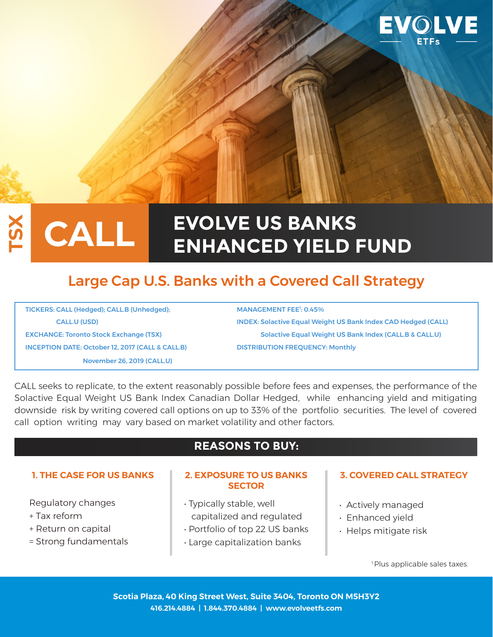

# **EVOLVE US BANKS CALL ENHANCED YIELD FUND**

# Large Cap U.S. Banks with a Covered Call Strategy

TICKERS: CALL (Hedged); CALL.B (Unhedged); INCEPTION DATE: October 12, 2017 (CALL & CALL.B) DISTRIBUTION FREQUENCY: Monthly November 26, 2019 (CALL.U)

MANAGEMENT FEE<sup>1</sup>: 0.45% CALL.U (USD) INDEX: Solactive Equal Weight US Bank Index CAD Hedged (CALL)

EXCHANGE: Toronto Stock Exchange (TSX) Solactive Equal Weight US Bank Index (CALL.B & CALL.U)

CALL seeks to replicate, to the extent reasonably possible before fees and expenses, the performance of the Solactive Equal Weight US Bank Index Canadian Dollar Hedged, while enhancing yield and mitigating downside risk by writing covered call options on up to 33% of the portfolio securities. The level of covered call option writing may vary based on market volatility and other factors.

### **REASONS TO BUY:**

Regulatory changes

- + Tax reform
- + Return on capital
- = Strong fundamentals

#### **1. THE CASE FOR US BANKS 2. EXPOSURE TO US BANKS SECTOR**

- Typically stable, well capitalized and regulated
- Portfolio of top 22 US banks
- Large capitalization banks

#### **3. COVERED CALL STRATEGY**

- Actively managed
- Enhanced yield
- Helps mitigate risk

<sup>1</sup> Plus applicable sales taxes.

**Scotia Plaza, 40 King Street West, Suite 3404, Toronto ON M5H3Y2 416.214.4884 | 1.844.370.4884 | www.evolveetfs.com**